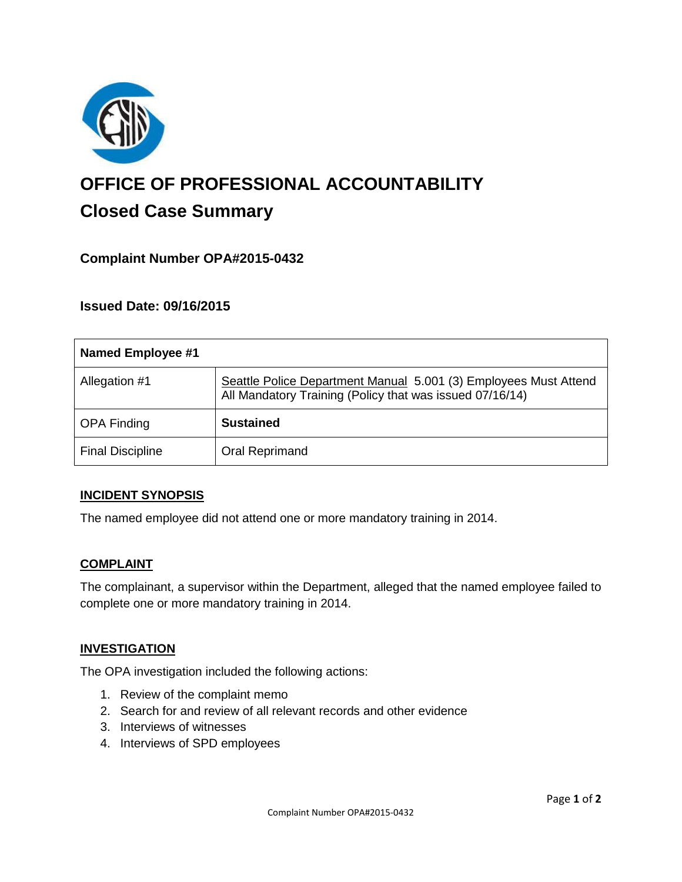

# **OFFICE OF PROFESSIONAL ACCOUNTABILITY Closed Case Summary**

# **Complaint Number OPA#2015-0432**

## **Issued Date: 09/16/2015**

| <b>Named Employee #1</b> |                                                                                                                              |
|--------------------------|------------------------------------------------------------------------------------------------------------------------------|
| Allegation #1            | Seattle Police Department Manual 5.001 (3) Employees Must Attend<br>All Mandatory Training (Policy that was issued 07/16/14) |
| <b>OPA Finding</b>       | <b>Sustained</b>                                                                                                             |
| <b>Final Discipline</b>  | Oral Reprimand                                                                                                               |

#### **INCIDENT SYNOPSIS**

The named employee did not attend one or more mandatory training in 2014.

#### **COMPLAINT**

The complainant, a supervisor within the Department, alleged that the named employee failed to complete one or more mandatory training in 2014.

#### **INVESTIGATION**

The OPA investigation included the following actions:

- 1. Review of the complaint memo
- 2. Search for and review of all relevant records and other evidence
- 3. Interviews of witnesses
- 4. Interviews of SPD employees